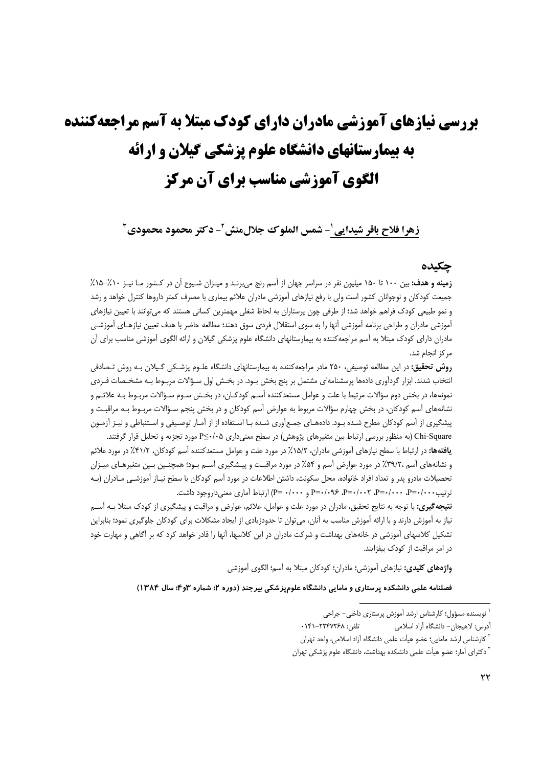# **بررسی نیازهای آموزشی مادران دارای کودک مبتلا به آسم مراجعهکننده** به بیمارستانهای دانشگاه علوم پزشکی گیلان و ارائه الگوی آموزشی مناسب برای آن مرکز

زهرا فلاح باقر شيدايي ْ- شمس الملوك جلالمنش ْ- دكتر محمود محمودي ّ

## جكىدە

زمینه و هدف: بین ۱۰۰ تا ۱۵۰ میلیون نفر در سراسر جهان از آسم رنج می برنـد و میـزان شـیوع آن در کـشور مـا نیـز ۱۰٪–۱۵٪ جمیعت کودکان و نوجوانان کشور است ولی با رفع نیازهای آموزشی مادران علائم بیماری با مصرف کمتر داروها کنترل خواهد و رشد و نمو طبیعی کودک فراهم خواهد شد؛ از طرفی چون پرستاران به لحاظ شغلی مهمترین کسانی هستند که میتوانند با تعیین نیازهای آموزشی مادران و طراحی برنامه آموزشی آنها را به سوی استقلال فردی سوق دهند؛ مطالعه حاضر با هدف تعیین نیازهـای آموزشـی مادران دارای کودک مبتلا به آسم مراجعهکننده به بیمارستانهای دانشگاه علوم پزشکی گیلان و ارائه الگوی آموزشی مناسب برای آن مركز انجام شد.

**روش تحقیق:** در این مطالعه توصیفی، ۲۵۰ مادر مراجعه کننده به بیمارستانهای دانشگاه علـوم پزشـکی گـیلان بـه روش تـصادفی انتخاب شدند. ابزار گردآوری دادهها پرسشنامهای مشتمل بر پنج بخش بـود. در بخـش اول سـؤالات مربـوط بـه مشخـصات فـردی نمونهها، در بخش دوم سؤالات مرتبط با علت و عوامل مستعدكننده آسـم كودكـان، در بخـش سـوم سـؤالات مربـوط بـه علائـم و نشانههای آسم کودکان، در بخش چهارم سؤالات مربوط به عوارض آسم کودکان و در بخش پنجم سـؤالات مربـوط بـه مراقبـت و پیشگیری از آسم کودکان مطرح شـده بـود. دادههـای جمـع[وری شـده بـا اسـتفاده از از آمـار توصـیفی و اسـتنباطی و نیـز آزمـون

Chi-Square (به منظور بررسی ارتباط بین متغیرهای پژوهش) در سطح معنیداری P≤٠/٠۵ مورد تجزیه و تحلیل قرار گرفتند. **یافتهها:** در ارتباط با سطح نیازهای آموزشی مادران، ۱۵/۲٪ در مورد علت و عوامل مستعدکننده آسم کودکان، ۱/۲٪ در مورد علائم و نشانههای آسم ،۳۹/۲٪ در مورد عوارض آسم و ۵۴٪ در مورد مراقبت و پیـشگیری آسـم بـود؛ همچنـین بـین متغیرهـای میـزان تحصیلات مادرو پدر و تعداد افراد خانواده، محل سکونت، داشتن اطلاعات در مورد آسم کودکان با سطح نیــاز آموزشــي مــادران (بــه ترتیب ۰۰۰/۰۰=P=۰/۰۰۰، -P=۰/۰۰۲، -P=۰/۰۹۶ P=۰/۰۹۶ و ۰۰۰/۰۰=P] ارتباط آماری معنی داروجود داشت.

**نتیجه گیری:** با توجه به نتایج تحقیق، مادران در مورد علت و عوامل، علائم، عوارض و مراقبت و پیشگیری از کودک مبتلا بـه آسـم نیاز به آموزش دارند و با ارائه آموزش مناسب به آنان، میتوان تا حدودزیادی از ایجاد مشکلات برای کودکان جلوگیری نمود؛ بنابراین تشکیل کلاسهای آموزشی در خانههای بهداشت و شرکت مادران در این کلاسها، آنها را قادر خواهد کرد که بر آگاهی و مهارت خود در امر مراقبت از کودک بیفزایند.

**واژههای کلیدی:** نیازهای آموزشی؛ مادران؛ کودکان مبتلا به آسم؛ الگوی آموزشی

فصلنامه علمی دانشکده پرستاری و مامایی دانشگاه علومیزشکی بیرجند (دوره ۲؛ شماره ۳و۴؛ سال ۱۳۸۴)

<sup>ّ</sup> نویسنده مسؤول؛ کارشناس ارشد آموزش پرستاری داخلی– جراحی

آدرس: لاهیجان- دانشگاه آزاد اسلامی تلفن: ٢٢٣٧٢۶٨+١۴١٠

<sup>&</sup>lt;sup>۲</sup> کارشناس ارشد مامایی؛ عضو هیأت علمی دانشگاه آزاد اسلامی، واحد تهران

<sup>&</sup>lt;sup>۳</sup> دکترای آمار؛ عضو هیأت علمی دانشکده بهداشت، دانشگاه علوم پزشکی تهران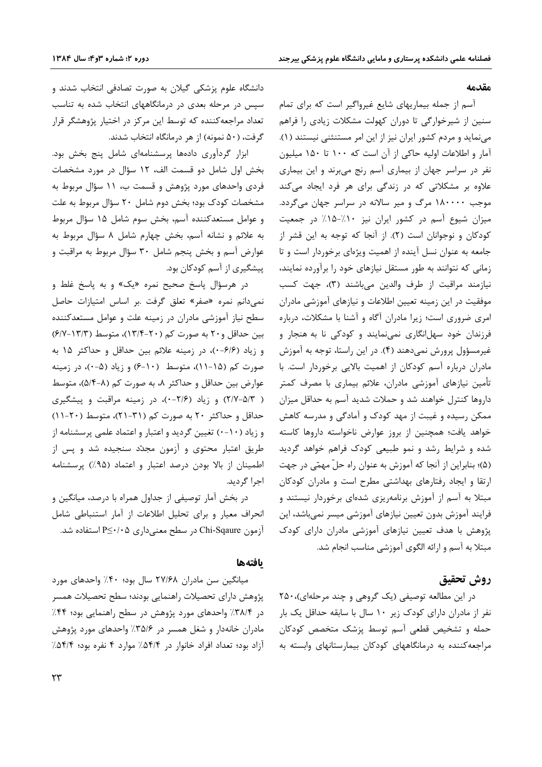#### مقدمه

آسم از جمله بیماریهای شایع غیرواگیر است که برای تمام سنین از شیرخوارگی تا دوران کهولت مشکلات زیادی را فراهم مینماید و مردم کشور ایران نیز از این امر مستنثنی نیستند (۱). آمار و اطلاعات اولیه حاکی از آن است که ۱۰۰ تا ۱۵۰ میلیون نفر در سراسر جهان از بیماری آسم رنج میبرند و این بیماری علاوه بر مشکلاتی که در زندگی برای هر فرد ایجاد میکند موجب ۱۸۰۰۰۰ مرگ و میر سالانه در سراسر جهان میگردد. میزان شیوع آسم در کشور ایران نیز ۱۰٪-۱۵٪ در جمعیت کودکان و نوجوانان است (٢). از آنجا که توجه به این قشر از جامعه به عنوان نسل آینده از اهمیت ویژهای برخوردار است و تا زمانی که نتوانند به طور مستقل نیازهای خود را برآورده نمایند، نيازمند مراقبت از طرف والدين مي باشند (٣)، جهت كسب موفقیت در این زمینه تعیین اطلاعات و نیازهای آموزشی مادران امری ضروری است؛ زیرا مادران آگاه و آشنا با مشکلات، درباره فرزندان خود سهلانگاری نمینمایند و کودکی نا به هنجار و غیرمسؤول پرورش نمیدهند (۴). در این راستا، توجه به آموزش مادران درباره آسم کودکان از اهمیت بالایی برخوردار است. با تأمین نیازهای آموزشی مادران، علائم بیماری با مصرف کمتر داروها كنترل خواهند شد و حملات شديد آسم به حداقل ميزان ممکن رسیده و غیبت از مهد کودک و آمادگی و مدرسه کاهش خواهد يافت؛ همچنين از بروز عوارض ناخواسته داروها كاسته شده و شرایط رشد و نمو طبیعی کودک فراهم خواهد گردید (۵)؛ بنابراین از آنجا که آموزش به عنوان راه حلّ مهمّی در جهت ارتقا و ایجاد رفتارهای بهداشتی مطرح است و مادران کودکان مبتلا به آسم از آموزش برنامهریزی شدهای برخوردار نیستند و فرایند آموزش بدون تعیین نیازهای آموزشی میسر نمیباشد، این پژوهش با هدف تعیین نیازهای آموزشی مادران دارای کودک مبتلا به آسم و ارائه الگوی آموزشی مناسب انجام شد.

# روش تحقيق

در این مطالعه توصیفی (یک گروهی و چند مرحلهای)،۲۵۰ نفر از مادران دارای کودک زیر ۱۰ سال با سابقه حداقل یک بار حمله و تشخیص قطعی آسم توسط پزشک متخصص کودکان مراجعه کننده به درمانگاههای کودکان بیمارستانهای وابسته به

دانشگاه علوم پزشکی گیلان به صورت تصادفی انتخاب شدند و سپس در مرحله بعدی در درمانگاههای انتخاب شده به تناسب تعداد مراجعه کننده که توسط این مرکز در اختیار پژوهشگر قرار گرفت، (۵۰ نمونه) از هر درمانگاه انتخاب شدند.

ابزار گردآوری دادهها پرسشنامهای شامل پنج بخش بود. بخش اول شامل دو قسمت الف، ١٢ سؤال در مورد مشخصات فردی واحدهای مورد پژوهش و قسمت ب، ۱۱ سؤال مربوط به مشخصات کودک بود؛ بخش دوم شامل ۲۰ سؤال مربوط به علت و عوامل مستعدکننده آسم، بخش سوم شامل ۱۵ سؤال مربوط به علائم و نشانه آسم، بخش چهارم شامل ۸ سؤال مربوط به عوارض آسم و بخش پنجم شامل ۳۰ سؤال مربوط به مراقبت و پیشگیری از آسم کودکان بود.

در هرسؤال پاسخ صحیح نمره «یک» و به پاسخ غلط و نمیدانم نمره «صفر» تعلق گرفت .بر اساس امتیازات حاصل سطح نیاز آموزشی مادران در زمینه علت و عوامل مستعدکننده بین حداقل و ۲۰ به صورت کم (۲۰-۱۳/۴)، متوسط (۱۳/۳-۶/۷) و زياد (۶/۶-۰)، در زمينه علائم بين حداقل و حداكثر ۱۵ به صورت کم (۱۵-۱۱)، متوسط (۱۰-۶) و زیاد (۵-۰)، در زمینه عوارض بين حداقل و حداكثر ٨، به صورت كم (٨-٥/٤)، متوسط ( ٢/٢-٥/٣) و زياد (٢/۶-٠)، در زمينه مراقبت و پيشكيرى حداقل و حداکثر ۲۰ به صورت کم (۳۱-۲۱)، متوسط (۲۰-۱۱) و زیاد (۱۰-۰) تغیین گردید و اعتبار و اعتماد علمی پرسشنامه از طریق اعتبار محتوی و آزمون مجدّد سنجیده شد و پس از اطمینان از بالا بودن درصد اعتبار و اعتماد (۹۵٪) پرسشنامه اجرا گردید.

در بخش آمار توصیفی از جداول همراه با درصد، میانگین و انحراف معيار وبراى تحليل اطلاعات از آمار استنباطى شامل آزمون Chi-Sqaure در سطح معنىدارى ∆P≤٠/٠ استفاده شد.

#### بافتهها

میانگین سن مادران ۲۷/۶۸ سال بود؛ ۴۰٪ واحدهای مورد پژوهش دارای تحصیلات راهنمایی بودند؛ سطح تحصیلات همسر در ۳۸/۴٪ واحدهای مورد پژوهش در سطح راهنمایی بود؛ ۴۴٪ مادران خانهدار و شغل همسر در ۳۵/۶٪ واحدهای مورد پژوهش آزاد بود؛ تعداد افراد خانوار در ۵۴/۴٪ موارد ۴ نفره بود؛ ۵۴/۴٪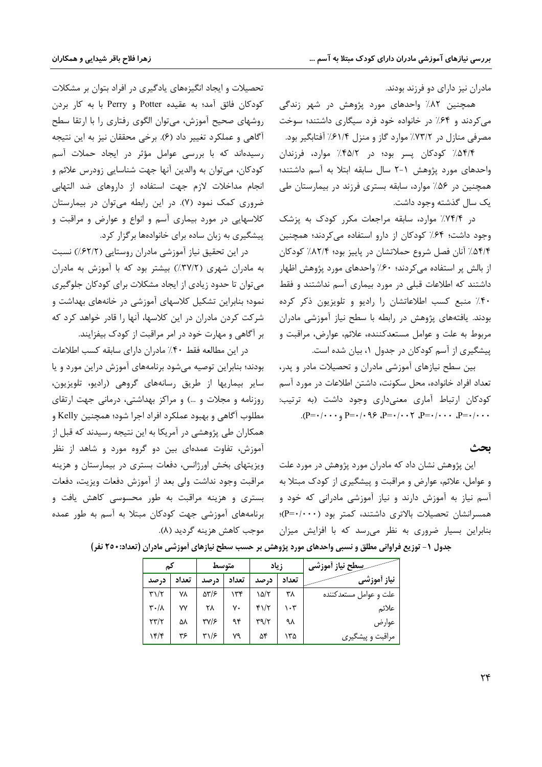مادران نیز دارای دو فرزند بودند.

همچنین ۸۲٪ واحدهای مورد پژوهش در شهر زندگی می کردند و ۶۴٪ در خانواده خود فرد سیگاری داشتند؛ سوخت مصرفی منازل در ۷۳/۲٪ موارد گاز و منزل ۶۱/۴٪ آفتابگیر بود.

۵۴/۴٪ کودکان پسر بود؛ در ۴۵/۲٪ موارد، فرزندان واحدهای مورد پژوهش ۱-۲ سال سابقه ابتلا به آسم داشتند؛ همچنین در ۵۶٪ موارد، سابقه بستری فرزند در بیمارستان طی یک سال گذشته وجود داشت.

در ۷۴/۴٪ موارد، سابقه مراجعات مکرر کودک به پزشک وجود داشت؛ ۶۴٪ کودکان از دارو استفاده می کردند؛ همچنین ۵۴/۴٪ آنان فصل شروع حملاتشان در پاییز بود؛ ۸۲/۴٪ کودکان از بالش پر استفاده میکردند؛ ۶۰٪ واحدهای مورد پژوهش اظهار داشتند که اطلاعات قبلی در مورد بیماری آسم نداشتند و فقط ۴۰٪ منبع کسب اطلاعاتشان را رادیو و تلویزیون ذکر کرده بودند. یافتههای پژوهش در رابطه با سطح نیاز آموزشی مادران مربوط به علت و عوامل مستعدكننده، علائم، عوارض، مراقبت و پیشگیری از آسم کودکان در جدول ۱، بیان شده است.

بین سطح نیازهای آموزشی مادران و تحصیلات مادر و پدر، تعداد افراد خانواده، محل سكونت، داشتن اطلاعات در مورد آسم كودكان ارتباط آماري معنىداري وجود داشت (به ترتيب: .  $(P = \cdot / \cdot \cdot \cdot P = \cdot / \cdot \cdot \cdot P = \cdot / \cdot \cdot \cdot P = \cdot / \cdot \cdot \cdot P = \cdot / \cdot \cdot \cdot P = \cdot / \cdot \cdot P$ 

#### ىحث

این پژوهش نشان داد که مادران مورد پژوهش در مورد علت و عوامل، علائم، عوارض و مراقبت و پیشگیری از کودک مبتلا به آسم نیاز به آموزش دارند و نیاز آموزشی مادرانی که خود و همسرانشان تحصیلات بالاتری داشتند، کمتر بود (۲۰۰۰-P)؛ بنابراین بسیار ضروری به نظر میرسد که با افزایش میزان

تحصیلات و ایجاد انگیزههای یادگیری در افراد بتوان بر مشکلات كودكان فائق آمد؛ به عقيده Potter و Perry با به كار بردن روشهای صحیح آموزش، میتوان الگوی رفتاری را با ارتقا سطح آگاهی و عملکرد تغییر داد (۶). برخی محققان نیز به این نتیجه رسیدهاند که با بررسی عوامل مؤثر در ایجاد حملات آسم کودکان، میتوان به والدین آنها جهت شناسایی زودرس علائم و انجام مداخلات لازم جهت استفاده از داروهای ضد التهابی ضروری کمک نمود (۷). در این رابطه میتوان در بیمارستان کلاسهایی در مورد بیماری آسم و انواع و عوارض و مراقبت و پیشگیری به زبان ساده برای خانوادهها برگزار کرد.

در این تحقیق نیاز آموزشی مادران روستایی (۶۲/۲٪) نسبت به مادران شهری (٣٧/٢٪) بیشتر بود که با آموزش به مادران می توان تا حدود زیادی از ایجاد مشکلات برای کودکان جلوگیری نمود؛ بنابراین تشکیل کلاسهای آموزشی در خانههای بهداشت و شرکت کردن مادران در این کلاسها، آنها را قادر خواهد کرد که بر آگاهی و مهارت خود در امر مراقبت از کودک بیفزایند.

در این مطالعه فقط ۴۰٪ مادران دارای سابقه کسب اطلاعات بودند؛ بنابراین توصیه میشود برنامههای آموزش دراین مورد و یا سایر بیماریها از طریق رسانههای گروهی (رادیو، تلویزیون، روزنامه و مجلات و …) و مراكز بهداشتى، درمانى جهت ارتقاى مطلوب آگاهی و بهبود عملکرد افراد اجرا شود؛ همچنین Kelly و همکاران طی پژوهشی در آمریکا به این نتیجه رسیدند که قبل از آموزش، تفاوت عمدهای بین دو گروه مورد و شاهد از نظر ویزیتهای بخش اورژانس، دفعات بستری در بیمارستان و هزینه مراقبت وجود نداشت ولي بعد از آموزش دفعات ويزيت، دفعات بستری و هزینه مراقبت به طور محسوسی کاهش یافت و برنامههای آموزشی جهت کودکان مبتلا به آسم به طور عمده موجب كاهش هزينه گرديد (٨).

|                                   |       | متوسط       |       | زياد                         |       | سِطح نیاز آموزشی       |
|-----------------------------------|-------|-------------|-------|------------------------------|-------|------------------------|
| د, صد                             | تعداد | د, صد       | تعداد | د, صد                        | تعداد | نياز أموزش <i>ي</i>    |
| $\mathbf{r}\mathbf{1}/\mathbf{r}$ | ٧٨    | 5518        | ۱۳۴   | ۱۵/۲                         | ۳٨    | علت و عوامل مستعدكننده |
| $\mathbf{r} \cdot / \mathbf{v}$   | ۷٧    | ۲۸          | ٧٠    |                              | ۱۰۳   | علائم                  |
| $\tau\tau/\tau$                   | ۵۸    | <b>٣٧/۶</b> | ۹۴    | $\Upsilon \gamma / \Upsilon$ | ٩λ    | عوارض                  |
| ۱۴/۴                              | ۳۶    | ۳۱/۶        | ٧٩    | ۵۴                           | ۱۳۵   | مراقبت و پیشگیری       |

جدول ۱– توزیع فراوانی مطلق و نسبی واحدهای مورد پژوهش بر حسب سطح نیازهای أموزشی مادران (تعداد:۲٥٠ نفر)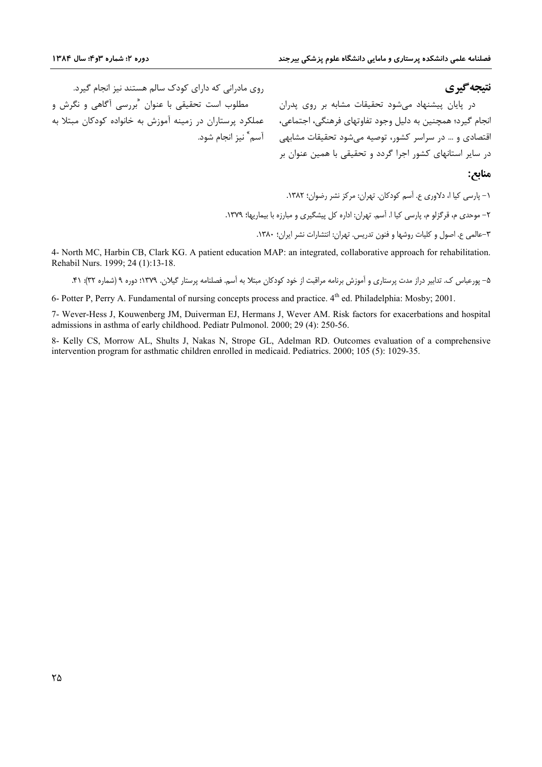### نتيجه گيري

روی مادرانی که دارای کودک سالم هستند نیز انجام گیرد. مطلوب است تحقیقی با عنوان  $\langle \xi, \xi \rangle$ اهی و نگرش و عملکرد پرستاران در زمینه آموزش به خانواده کودکان مبتلا به آسم ؓ نیز انجام شود.

در پایان پیشنهاد می شود تحقیقات مشابه بر روی پدران انجام گیرد؛ همچنین به دلیل وجود تفاوتهای فرهنگی، اجتماعی، اقتصادی و … در سراسر کشور، توصیه میشود تحقیقات مشابهی در سایر استانهای کشور اجرا گردد و تحقیقی با همین عنوان بر

#### منابع:

١- يارسي كيا ا، دلاوري ع. آسم كودكان. تهران: مركز نشر رضوان؛ ١٣٨٢. ۲– موحدی م، قرگزلو م، پارسی کیا ا. آسم. تهران: اداره کل پیشگیری و مبارزه با بیماریها؛ ۱۳۷۹. ٣-عالمي ع. اصول و كليات روشها و فنون تدريس. تهران: انتشارات نشر ايران؛ ١٣٨٠.

4- North MC, Harbin CB, Clark KG. A patient education MAP: an integrated, collaborative approach for rehabilitation. Rehabil Nurs. 1999; 24 (1):13-18.

6- Potter P, Perry A. Fundamental of nursing concepts process and practice. 4<sup>th</sup> ed. Philadelphia: Mosby; 2001.

7- Wever-Hess J, Kouwenberg JM, Duiverman EJ, Hermans J, Wever AM. Risk factors for exacerbations and hospital admissions in asthma of early childhood. Pediatr Pulmonol. 2000; 29 (4): 250-56.

8- Kelly CS, Morrow AL, Shults J, Nakas N, Strope GL, Adelman RD. Outcomes evaluation of a comprehensive intervention program for asthmatic children enrolled in medicaid. Pediatrics. 2000; 105 (5): 1029-35.